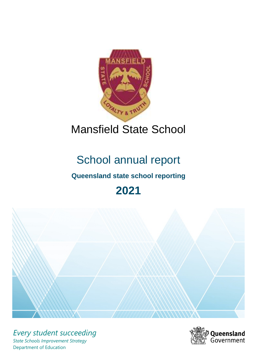

# Mansfield State School

# School annual report

# **Queensland state school reporting**

# **2021**



*Every student succeeding State Schools Improvement Strategy* Department of Education

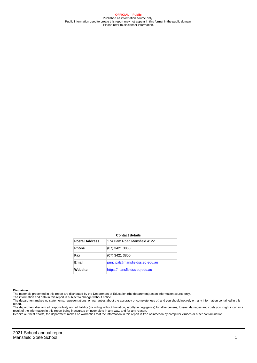**OFFICIAL – Public** Published as information source only. Public information used to create this report may not appear in this format in the public domain Please refer to disclaimer information.

#### **Contact details**

| <b>Postal Address</b> | 174 Ham Road Mansfield 4122     |
|-----------------------|---------------------------------|
| <b>Phone</b>          | (07) 3421 3888                  |
| Fax                   | (07) 3421 3800                  |
| <b>Email</b>          | principal@mansfieldss.eq.edu.au |
| Website               | https://mansfieldss.eg.edu.au   |

#### **Disclaimer**

The materials presented in this report are distributed by the Department of Education (the department) as an information source only.

The information and data in this report is subject to change without notice.<br>The department makes no statements, representations, or warranties about the accuracy or completeness of, and you should not rely on, any informa report.

The department disclaim all responsibility and all liability (including without limitation, liability in negligence) for all expenses, losses, damages and costs you might incur as a result of the information in this report being inaccurate or incomplete in any way, and for any reason. Despite our best efforts, the department makes no warranties that the information in this report is free of infection by computer viruses or other contamination.

2021 School annual report Mansfield State School 1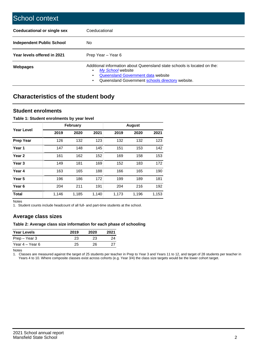| School context                   |                                                                                                                                                                                              |
|----------------------------------|----------------------------------------------------------------------------------------------------------------------------------------------------------------------------------------------|
| Coeducational or single sex      | Coeducational                                                                                                                                                                                |
| <b>Independent Public School</b> | No.                                                                                                                                                                                          |
| Year levels offered in 2021      | Prep Year - Year 6                                                                                                                                                                           |
| Webpages                         | Additional information about Queensland state schools is located on the:<br>My School website<br>Queensland Government data website<br>Queensland Government schools directory website.<br>٠ |

# **Characteristics of the student body**

### **Student enrolments**

#### **Table 1: Student enrolments by year level**

|                   |       | <b>February</b> |       |       | <b>August</b> |       |
|-------------------|-------|-----------------|-------|-------|---------------|-------|
| <b>Year Level</b> | 2019  | 2020            | 2021  | 2019  | 2020          | 2021  |
| <b>Prep Year</b>  | 126   | 132             | 123   | 132   | 132           | 123   |
| Year 1            | 147   | 148             | 145   | 151   | 153           | 142   |
| Year 2            | 161   | 162             | 152   | 169   | 158           | 153   |
| Year <sub>3</sub> | 149   | 181             | 169   | 152   | 183           | 172   |
| Year 4            | 163   | 165             | 188   | 166   | 165           | 190   |
| Year 5            | 196   | 186             | 172   | 199   | 189           | 181   |
| Year <sub>6</sub> | 204   | 211             | 191   | 204   | 216           | 192   |
| <b>Total</b>      | 1,146 | 1,185           | 1,140 | 1,173 | 1,196         | 1,153 |

Notes

1. Student counts include headcount of all full- and part-time students at the school.

## **Average class sizes**

#### **Table 2: Average class size information for each phase of schooling**

| <b>Year Levels</b> | 2019 | 2020 | 2021 |
|--------------------|------|------|------|
| Prep – Year 3      | 23   | 23   | 24   |
| Year 4 – Year 6    | 25   | 26.  | 27   |

Notes

1. Classes are measured against the target of 25 students per teacher in Prep to Year 3 and Years 11 to 12, and target of 28 students per teacher in Years 4 to 10. Where composite classes exist across cohorts (e.g. Year 3/4) the class size targets would be the lower cohort target.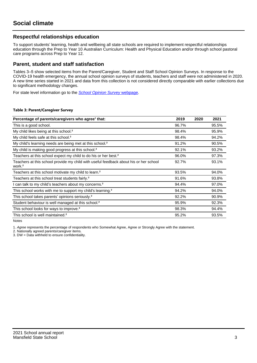## **Respectful relationships education**

To support students' learning, health and wellbeing all state schools are required to implement respectful relationships education through the Prep to Year 10 Australian Curriculum: Health and Physical Education and/or through school pastoral care programs across Prep to Year 12.

### **Parent, student and staff satisfaction**

Tables 3–5 show selected items from the Parent/Caregiver, Student and Staff School Opinion Surveys. In response to the COVID-19 health emergency, the annual school opinion surveys of students, teachers and staff were not administered in 2020. A new time series started in 2021 and data from this collection is not considered directly comparable with earlier collections due to significant methodology changes.

For state level information go to the **[School Opinion Survey](https://qed.qld.gov.au/publications/reports/statistics/schooling/schools/schoolopinionsurvey) webpage**.

#### **Table 3: Parent/Caregiver Survey**

| Percentage of parents/caregivers who agree <sup>1</sup> that:                                               | 2019  | 2020 | 2021  |
|-------------------------------------------------------------------------------------------------------------|-------|------|-------|
| This is a good school.                                                                                      | 96.7% |      | 95.5% |
| My child likes being at this school. <sup>2</sup>                                                           | 98.4% |      | 95.9% |
| My child feels safe at this school. <sup>2</sup>                                                            | 98.4% |      | 94.2% |
| My child's learning needs are being met at this school. <sup>2</sup>                                        | 91.2% |      | 90.5% |
| My child is making good progress at this school. <sup>2</sup>                                               | 92.1% |      | 93.2% |
| Teachers at this school expect my child to do his or her best. <sup>2</sup>                                 | 96.0% |      | 97.3% |
| Teachers at this school provide my child with useful feedback about his or her school<br>work. <sup>2</sup> | 92.7% |      | 93.1% |
| Teachers at this school motivate my child to learn. <sup>2</sup>                                            | 93.5% |      | 94.0% |
| Teachers at this school treat students fairly. <sup>2</sup>                                                 | 91.6% |      | 93.8% |
| can talk to my child's teachers about my concerns. <sup>2</sup>                                             | 94.4% |      | 97.0% |
| This school works with me to support my child's learning. <sup>2</sup>                                      | 94.2% |      | 94.0% |
| This school takes parents' opinions seriously. <sup>2</sup>                                                 | 92.2% |      | 90.9% |
| Student behaviour is well managed at this school. <sup>2</sup>                                              | 95.9% |      | 92.3% |
| This school looks for ways to improve. <sup>2</sup>                                                         | 98.3% |      | 94.4% |
| This school is well maintained. <sup>2</sup>                                                                | 95.2% |      | 93.5% |

Notes

1. Agree represents the percentage of respondents who Somewhat Agree, Agree or Strongly Agree with the statement.

2. Nationally agreed parents/caregiver items.

3. DW = Data withheld to ensure confidentiality.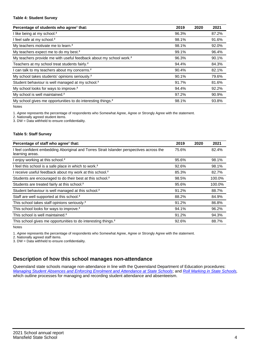#### **Table 4: Student Survey**

| Percentage of students who agree <sup>1</sup> that:                            | 2019  | 2020 | 2021  |
|--------------------------------------------------------------------------------|-------|------|-------|
| I like being at my school. <sup>2</sup>                                        | 96.3% |      | 87.2% |
| I feel safe at my school. <sup>2</sup>                                         | 98.1% |      | 91.6% |
| My teachers motivate me to learn. <sup>2</sup>                                 | 98.1% |      | 92.0% |
| My teachers expect me to do my best. <sup>2</sup>                              | 99.1% |      | 96.4% |
| My teachers provide me with useful feedback about my school work. <sup>2</sup> | 96.3% |      | 90.1% |
| Teachers at my school treat students fairly. <sup>2</sup>                      | 94.4% |      | 84.3% |
| I can talk to my teachers about my concerns. <sup>2</sup>                      | 90.4% |      | 82.1% |
| My school takes students' opinions seriously. <sup>2</sup>                     | 90.1% |      | 79.6% |
| Student behaviour is well managed at my school. <sup>2</sup>                   | 91.7% |      | 81.6% |
| My school looks for ways to improve. <sup>2</sup>                              | 94.4% |      | 92.2% |
| My school is well maintained. <sup>2</sup>                                     | 97.2% |      | 90.9% |
| My school gives me opportunities to do interesting things. <sup>2</sup>        | 98.1% |      | 93.8% |

Notes

1. Agree represents the percentage of respondents who Somewhat Agree, Agree or Strongly Agree with the statement.

2. Nationally agreed student items.

3. DW = Data withheld to ensure confidentiality.

#### **Table 5: Staff Survey**

| Percentage of staff who agree <sup>1</sup> that:                                                            | 2019  | 2020 | 2021   |
|-------------------------------------------------------------------------------------------------------------|-------|------|--------|
| I feel confident embedding Aboriginal and Torres Strait Islander perspectives across the<br>learning areas. | 75.6% |      | 82.4%  |
| I enjoy working at this school. <sup>2</sup>                                                                | 95.6% |      | 98.1%  |
| I feel this school is a safe place in which to work. <sup>2</sup>                                           | 92.6% |      | 98.1%  |
| I receive useful feedback about my work at this school. <sup>2</sup>                                        | 85.3% |      | 82.7%  |
| Students are encouraged to do their best at this school. <sup>2</sup>                                       | 98.5% |      | 100.0% |
| Students are treated fairly at this school. <sup>2</sup>                                                    | 95.6% |      | 100.0% |
| Student behaviour is well managed at this school. <sup>2</sup>                                              | 91.2% |      | 88.7%  |
| Staff are well supported at this school. <sup>2</sup>                                                       | 88.2% |      | 84.9%  |
| This school takes staff opinions seriously. <sup>2</sup>                                                    | 91.2% |      | 86.8%  |
| This school looks for ways to improve. <sup>2</sup>                                                         | 94.1% |      | 96.2%  |
| This school is well maintained. <sup>2</sup>                                                                | 91.2% |      | 94.3%  |
| This school gives me opportunities to do interesting things. <sup>2</sup>                                   | 92.6% |      | 88.7%  |

Notes

1. Agree represents the percentage of respondents who Somewhat Agree, Agree or Strongly Agree with the statement.

2. Nationally agreed staff items.

3. DW = Data withheld to ensure confidentiality.

## **Description of how this school manages non-attendance**

Queensland state schools manage non-attendance in line with the Queensland Department of Education procedures: [Managing Student Absences and Enforcing Enrolment and Attendance at State Schools](https://ppr.qed.qld.gov.au/pp/managing-student-absences-and-enforcing-enrolment-and-attendance-at-state-schools-procedure); and [Roll Marking in State Schools,](https://ppr.qed.qld.gov.au/pp/roll-marking-in-state-schools-procedure) which outline processes for managing and recording student attendance and absenteeism.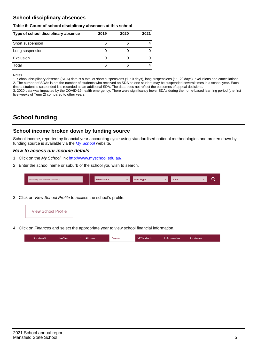## **School disciplinary absences**

#### **Table 6: Count of school disciplinary absences at this school**

| Type of school disciplinary absence | 2019 | 2020 | 2021 |
|-------------------------------------|------|------|------|
| Short suspension                    | 6    |      |      |
| Long suspension                     |      |      |      |
| Exclusion                           |      |      |      |
| Total                               | 6    | 6    |      |

Notes

1. School disciplinary absence (SDA) data is a total of short suspensions (1–10 days), long suspensions (11–20 days), exclusions and cancellations. 2. The number of SDAs is not the number of students who received an SDA as one student may be suspended several times in a school year. Each time a student is suspended it is recorded as an additional SDA. The data does not reflect the outcomes of appeal decisions.

3. 2020 data was impacted by the COVID-19 health emergency. There were significantly fewer SDAs during the home-based learning period (the first five weeks of Term 2) compared to other years.

# **School funding**

## **School income broken down by funding source**

School income, reported by financial year accounting cycle using standardised national methodologies and broken down by funding source is available via the  $My$  School website.

#### **How to access our income details**

- 1. Click on the My School link <http://www.myschool.edu.au/>.
- 2. Enter the school name or suburb of the school you wish to search.

|  | Search by school name or suburb |  | <b>School sector</b> |  | $\sim$ and $\sim$ represents the set of $\sim$ | <b>State</b> |  |  |  |
|--|---------------------------------|--|----------------------|--|------------------------------------------------|--------------|--|--|--|
|--|---------------------------------|--|----------------------|--|------------------------------------------------|--------------|--|--|--|

3. Click on View School Profile to access the school's profile.



4. Click on Finances and select the appropriate year to view school financial information.

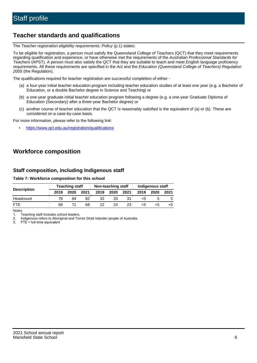# **Teacher standards and qualifications**

The Teacher registration eligibility requirements: Policy (p.1) states:

To be eligible for registration, a person must satisfy the Queensland College of Teachers (QCT) that they meet requirements regarding qualification and experience, or have otherwise met the requirements of the Australian Professional Standards for Teachers (APST). A person must also satisfy the QCT that they are suitable to teach and meet English language proficiency requirements. All these requirements are specified in the Act and the Education (Queensland College of Teachers) Regulation 2005 (the Regulation).

The qualifications required for teacher registration are successful completion of either -

- (a) a four-year initial teacher education program including teacher education studies of at least one year (e.g. a Bachelor of Education, or a double Bachelor degree in Science and Teaching) or
- (b) a one-year graduate initial teacher education program following a degree (e.g. a one-year Graduate Diploma of Education (Secondary) after a three-year Bachelor degree) or
- (c) another course of teacher education that the QCT is reasonably satisfied is the equivalent of (a) or (b). These are considered on a case-by-case basis.

For more information, please refer to the following link:

• <https://www.qct.edu.au/registration/qualifications>

# **Workforce composition**

## **Staff composition, including Indigenous staff**

#### **Table 7: Workforce composition for this school**

|                    |      | <b>Teaching staff</b> |      |      | Non-teaching staff |                 | Indigenous staff |      |      |  |
|--------------------|------|-----------------------|------|------|--------------------|-----------------|------------------|------|------|--|
| <b>Description</b> | 2019 | 2020                  | 2021 | 2019 | 2020               | 2021            | 2019             | 2020 | 2021 |  |
| Headcount          | 78   | 84                    | 82   | 32   | 33                 |                 | <5               |      |      |  |
| <b>FTF</b>         | 68   |                       | 68   | 22.  | 24                 | 23 <sub>1</sub> | <5               | ה>   |      |  |

Notes

1. Teaching staff includes school leaders.

2. Indigenous refers to Aboriginal and Torres Strait Islander people of Australia.

3. FTE = full-time equivalent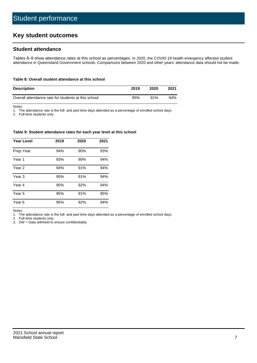# **Key student outcomes**

## **Student attendance**

Tables 8–9 show attendance rates at this school as percentages. In 2020, the COVID-19 health emergency affected student attendance in Queensland Government schools. Comparisons between 2020 and other years' attendance data should not be made.

#### **Table 8: Overall student attendance at this school**

| <b>Description</b>                                  | 2019 | 2020   | 2021 |
|-----------------------------------------------------|------|--------|------|
| Overall attendance rate for students at this school | 95%  | $91\%$ | 94%  |

Notes

1. The attendance rate is the full- and part-time days attended as a percentage of enrolled school days.

2. Full-time students only.

#### **Table 9: Student attendance rates for each year level at this school**

| <b>Year Level</b> | 2019 | 2020 | 2021 |
|-------------------|------|------|------|
| Prep Year         | 94%  | 90%  | 93%  |
| Year <sub>1</sub> | 93%  | 90%  | 94%  |
| Year 2            | 94%  | 91%  | 94%  |
| Year 3            | 95%  | 91%  | 94%  |
| Year 4            | 95%  | 92%  | 94%  |
| Year 5            | 95%  | 91%  | 95%  |
| Year <sub>6</sub> | 95%  | 92%  | 94%  |

Notes

1. The attendance rate is the full- and part-time days attended as a percentage of enrolled school days.

2. Full-time students only.

3. DW = Data withheld to ensure confidentiality